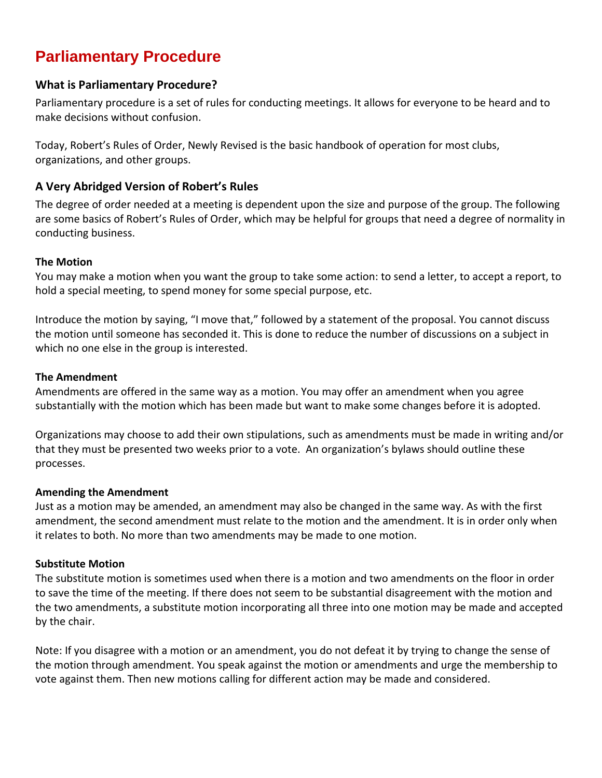## **Parliamentary Procedure**

### **What is Parliamentary Procedure?**

Parliamentary procedure is a set of rules for conducting meetings. It allows for everyone to be heard and to make decisions without confusion.

Today, Robert's Rules of Order, Newly Revised is the basic handbook of operation for most clubs, organizations, and other groups.

## **A Very Abridged Version of Robert's Rules**

The degree of order needed at a meeting is dependent upon the size and purpose of the group. The following are some basics of Robert's Rules of Order, which may be helpful for groups that need a degree of normality in conducting business.

#### **The Motion**

You may make a motion when you want the group to take some action: to send a letter, to accept a report, to hold a special meeting, to spend money for some special purpose, etc.

Introduce the motion by saying, "I move that," followed by a statement of the proposal. You cannot discuss the motion until someone has seconded it. This is done to reduce the number of discussions on a subject in which no one else in the group is interested.

#### **The Amendment**

Amendments are offered in the same way as a motion. You may offer an amendment when you agree substantially with the motion which has been made but want to make some changes before it is adopted.

Organizations may choose to add their own stipulations, such as amendments must be made in writing and/or that they must be presented two weeks prior to a vote. An organization's bylaws should outline these processes.

#### **Amending the Amendment**

Just as a motion may be amended, an amendment may also be changed in the same way. As with the first amendment, the second amendment must relate to the motion and the amendment. It is in order only when it relates to both. No more than two amendments may be made to one motion.

#### **Substitute Motion**

The substitute motion is sometimes used when there is a motion and two amendments on the floor in order to save the time of the meeting. If there does not seem to be substantial disagreement with the motion and the two amendments, a substitute motion incorporating all three into one motion may be made and accepted by the chair.

Note: If you disagree with a motion or an amendment, you do not defeat it by trying to change the sense of the motion through amendment. You speak against the motion or amendments and urge the membership to vote against them. Then new motions calling for different action may be made and considered.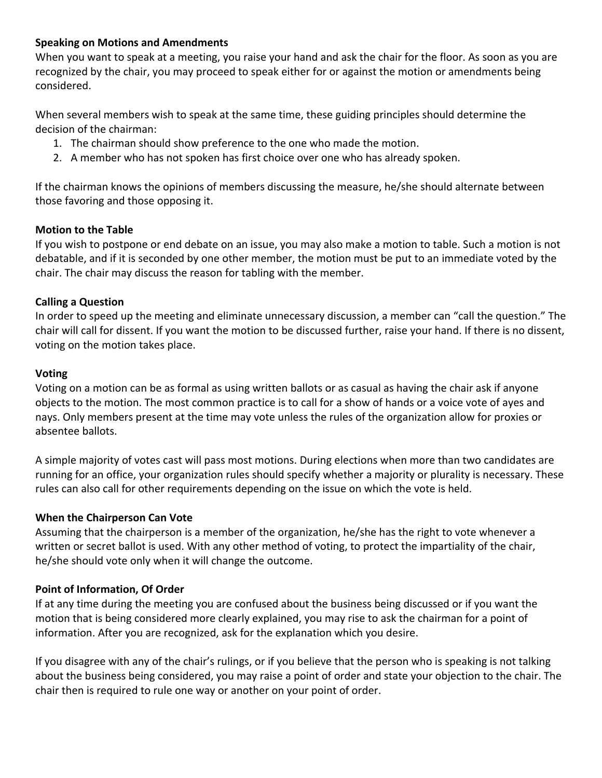#### **Speaking on Motions and Amendments**

When you want to speak at a meeting, you raise your hand and ask the chair for the floor. As soon as you are recognized by the chair, you may proceed to speak either for or against the motion or amendments being considered.

When several members wish to speak at the same time, these guiding principles should determine the decision of the chairman:

- 1. The chairman should show preference to the one who made the motion.
- 2. A member who has not spoken has first choice over one who has already spoken.

If the chairman knows the opinions of members discussing the measure, he/she should alternate between those favoring and those opposing it.

#### **Motion to the Table**

If you wish to postpone or end debate on an issue, you may also make a motion to table. Such a motion is not debatable, and if it is seconded by one other member, the motion must be put to an immediate voted by the chair. The chair may discuss the reason for tabling with the member.

#### **Calling a Question**

In order to speed up the meeting and eliminate unnecessary discussion, a member can "call the question." The chair will call for dissent. If you want the motion to be discussed further, raise your hand. If there is no dissent, voting on the motion takes place.

#### **Voting**

Voting on a motion can be as formal as using written ballots or as casual as having the chair ask if anyone objects to the motion. The most common practice is to call for a show of hands or a voice vote of ayes and nays. Only members present at the time may vote unless the rules of the organization allow for proxies or absentee ballots.

A simple majority of votes cast will pass most motions. During elections when more than two candidates are running for an office, your organization rules should specify whether a majority or plurality is necessary. These rules can also call for other requirements depending on the issue on which the vote is held.

#### **When the Chairperson Can Vote**

Assuming that the chairperson is a member of the organization, he/she has the right to vote whenever a written or secret ballot is used. With any other method of voting, to protect the impartiality of the chair, he/she should vote only when it will change the outcome.

#### **Point of Information, Of Order**

If at any time during the meeting you are confused about the business being discussed or if you want the motion that is being considered more clearly explained, you may rise to ask the chairman for a point of information. After you are recognized, ask for the explanation which you desire.

If you disagree with any of the chair's rulings, or if you believe that the person who is speaking is not talking about the business being considered, you may raise a point of order and state your objection to the chair. The chair then is required to rule one way or another on your point of order.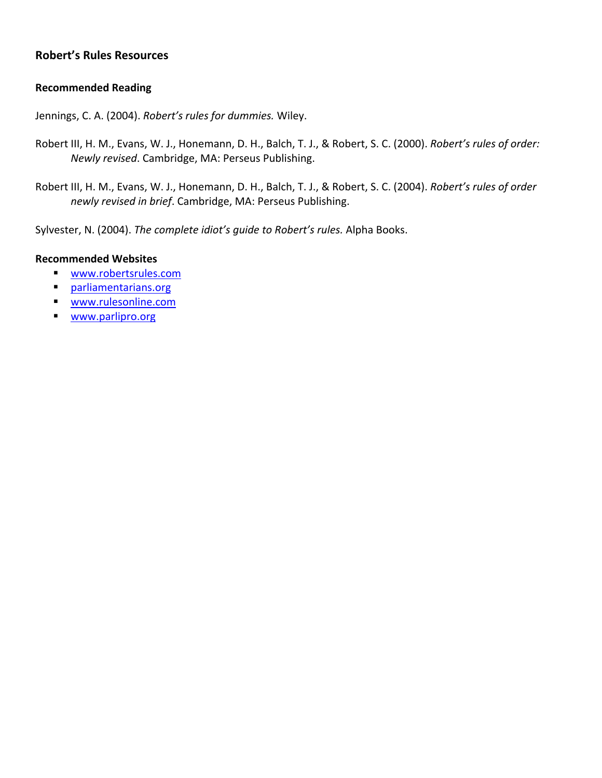#### **Robert's Rules Resources**

#### **Recommended Reading**

Jennings, C. A. (2004). *Robert's rules for dummies.* Wiley.

- Robert III, H. M., Evans, W. J., Honemann, D. H., Balch, T. J., & Robert, S. C. (2000). *Robert's rules of order: Newly revised*. Cambridge, MA: Perseus Publishing.
- Robert III, H. M., Evans, W. J., Honemann, D. H., Balch, T. J., & Robert, S. C. (2004). *Robert's rules of order newly revised in brief*. Cambridge, MA: Perseus Publishing.

Sylvester, N. (2004). *The complete idiot's guide to Robert's rules.* Alpha Books.

#### **Recommended Websites**

- [www.robertsrules.com](http://www.robertsrules.com/)
- **Parliamentarians.org**
- [www.rulesonline.com](http://www.rulesonline.com/)
- [www.parlipro.org](http://www.parlipro.org/)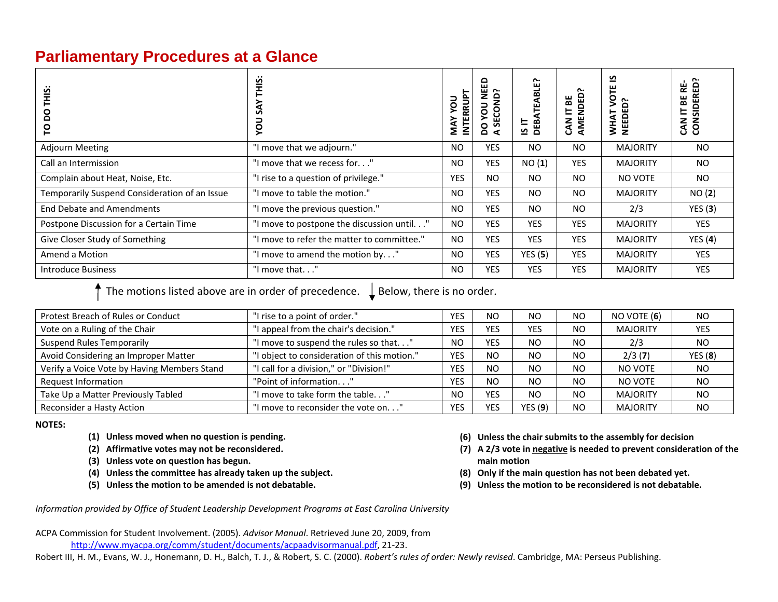## **Parliamentary Procedures at a Glance**

| ഇ<br>O<br>Õ<br>O                              | $\cdot \cdot$<br><b>THIS</b><br>58<br>DOX  | <b>INTERRUP</b><br>ğ<br>ξ<br>Σ | 읍<br>ž<br>ົ.<br>$\Omega$<br>SECON<br>non<br>na<br>as | ົ.<br>ABLET<br>ᄇ<br>DEB<br>ທ | AMENDED<br>볾<br>느<br><b>CAN</b> | ⊻<br>VOTE<br>NEEDED?<br>WHAT | CAN IT BE RE-<br>CONSIDERED? |
|-----------------------------------------------|--------------------------------------------|--------------------------------|------------------------------------------------------|------------------------------|---------------------------------|------------------------------|------------------------------|
| <b>Adjourn Meeting</b>                        | "I move that we adjourn."                  | <b>NO</b>                      | <b>YES</b>                                           | <b>NO</b>                    | <b>NO</b>                       | <b>MAJORITY</b>              | NO.                          |
| Call an Intermission                          | "I move that we recess for"                | <b>NO</b>                      | YES.                                                 | NO(1)                        | <b>YES</b>                      | <b>MAJORITY</b>              | <b>NO</b>                    |
| Complain about Heat, Noise, Etc.              | "I rise to a question of privilege."       | <b>YES</b>                     | N <sub>O</sub>                                       | <b>NO</b>                    | <b>NO</b>                       | NO VOTE                      | <b>NO</b>                    |
| Temporarily Suspend Consideration of an Issue | "I move to table the motion."              | <b>NO</b>                      | <b>YES</b>                                           | NO                           | <b>NO</b>                       | <b>MAJORITY</b>              | NO(2)                        |
| <b>End Debate and Amendments</b>              | "I move the previous question."            | <b>NO</b>                      | <b>YES</b>                                           | NO                           | <b>NO</b>                       | 2/3                          | YES(3)                       |
| Postpone Discussion for a Certain Time        | "I move to postpone the discussion until"  | <b>NO</b>                      | YES                                                  | YES                          | YES                             | <b>MAJORITY</b>              | <b>YES</b>                   |
| Give Closer Study of Something                | "I move to refer the matter to committee." | <b>NO</b>                      | <b>YES</b>                                           | <b>YES</b>                   | <b>YES</b>                      | <b>MAJORITY</b>              | YES(4)                       |
| Amend a Motion                                | "I move to amend the motion by."           | <b>NO</b>                      | YES                                                  | YES(5)                       | YES                             | <b>MAJORITY</b>              | YES                          |
| Introduce Business                            | "I move that"                              | NO                             | YES                                                  | <b>YES</b>                   | YES                             | <b>MAJORITY</b>              | <b>YES</b>                   |

The motions listed above are in order of precedence.  $\;\downarrow$  Below, there is no order.

| Protest Breach of Rules or Conduct          | "I rise to a point of order."               | <b>YES</b> | N <sub>O</sub> | NO.            | <b>NO</b>      | NO VOTE (6)     | <b>NO</b>      |
|---------------------------------------------|---------------------------------------------|------------|----------------|----------------|----------------|-----------------|----------------|
| Vote on a Ruling of the Chair               | l appeal from the chair's decision."        | <b>YES</b> | <b>YES</b>     | YES            | NO.            | <b>MAJORITY</b> | <b>YES</b>     |
| <b>Suspend Rules Temporarily</b>            | I move to suspend the rules so that"        | <b>NO</b>  | <b>YES</b>     | N <sub>O</sub> | <b>NO</b>      | 2/3             | <b>NO</b>      |
| Avoid Considering an Improper Matter        | "I object to consideration of this motion." | <b>YES</b> | <sub>NO</sub>  | <b>NO</b>      | NO.            | 2/3(7)          | YES(8)         |
| Verify a Voice Vote by Having Members Stand | I call for a division," or "Division!"      | <b>YES</b> | <b>NO</b>      | N <sub>O</sub> | N <sub>O</sub> | NO VOTE         | <b>NO</b>      |
| Request Information                         | "Point of information"                      | <b>YES</b> | <b>NO</b>      | N <sub>O</sub> | N <sub>O</sub> | NO VOTE         | <b>NO</b>      |
| Take Up a Matter Previously Tabled          | I move to take form the table"              | <b>NO</b>  | <b>YES</b>     | N <sub>O</sub> | N <sub>O</sub> | <b>MAJORITY</b> | <b>NO</b>      |
| Reconsider a Hasty Action                   | I move to reconsider the vote on'           | <b>YES</b> | <b>YES</b>     | YES(9)         | N <sub>O</sub> | <b>MAJORITY</b> | N <sub>O</sub> |

**NOTES:**

**(1) Unless moved when no question is pending.**

**(2) Affirmative votes may not be reconsidered.**

**(3) Unless vote on question has begun.**

- **(4) Unless the committee has already taken up the subject.**
- **(5) Unless the motion to be amended is not debatable.**
- **(6) Unless the chair submits to the assembly for decision**
- **(7) A 2/3 vote in negative is needed to prevent consideration of the main motion**
- **(8) Only if the main question has not been debated yet.**
- **(9) Unless the motion to be reconsidered is not debatable.**

*Information provided by Office of Student Leadership Development Programs at East Carolina University*

ACPA Commission for Student Involvement. (2005). *Advisor Manual*. Retrieved June 20, 2009, from <http://www.myacpa.org/comm/student/documents/acpaadvisormanual.pdf>, 21‐23.

<span id="page-3-0"></span>Robert III, H. M., Evans, W. J., Honemann, D. H., Balch, T. J., & Robert, S. C. (2000). *Robert's rules of order: Newly revised*. Cambridge, MA: Perseus Publishing.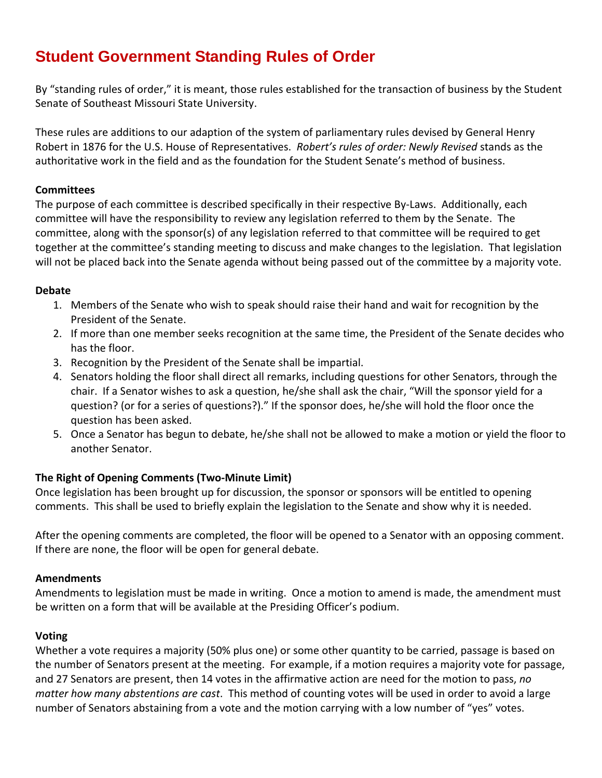# **Student Government Standing Rules of Order**

By "standing rules of order," it is meant, those rules established for the transaction of business by the Student Senate of Southeast Missouri State University.

These rules are additions to our adaption of the system of parliamentary rules devised by General Henry Robert in 1876 for the U.S. House of Representatives. *Robert's rules of order: Newly Revised* stands as the authoritative work in the field and as the foundation for the Student Senate's method of business.

#### **Committees**

The purpose of each committee is described specifically in their respective By-Laws. Additionally, each committee will have the responsibility to review any legislation referred to them by the Senate. The committee, along with the sponsor(s) of any legislation referred to that committee will be required to get together at the committee's standing meeting to discuss and make changes to the legislation. That legislation will not be placed back into the Senate agenda without being passed out of the committee by a majority vote.

#### **Debate**

- 1. Members of the Senate who wish to speak should raise their hand and wait for recognition by the President of the Senate.
- 2. If more than one member seeks recognition at the same time, the President of the Senate decides who has the floor.
- 3. Recognition by the President of the Senate shall be impartial.
- 4. Senators holding the floor shall direct all remarks, including questions for other Senators, through the chair. If a Senator wishes to ask a question, he/she shall ask the chair, "Will the sponsor yield for a question? (or for a series of questions?)." If the sponsor does, he/she will hold the floor once the question has been asked.
- 5. Once a Senator has begun to debate, he/she shall not be allowed to make a motion or yield the floor to another Senator.

#### **The Right of Opening Comments (Two‐Minute Limit)**

Once legislation has been brought up for discussion, the sponsor or sponsors will be entitled to opening comments. This shall be used to briefly explain the legislation to the Senate and show why it is needed.

After the opening comments are completed, the floor will be opened to a Senator with an opposing comment. If there are none, the floor will be open for general debate.

#### **Amendments**

Amendments to legislation must be made in writing. Once a motion to amend is made, the amendment must be written on a form that will be available at the Presiding Officer's podium.

#### **Voting**

Whether a vote requires a majority (50% plus one) or some other quantity to be carried, passage is based on the number of Senators present at the meeting. For example, if a motion requires a majority vote for passage, and 27 Senators are present, then 14 votes in the affirmative action are need for the motion to pass, *no matter how many abstentions are cast*. This method of counting votes will be used in order to avoid a large number of Senators abstaining from a vote and the motion carrying with a low number of "yes" votes.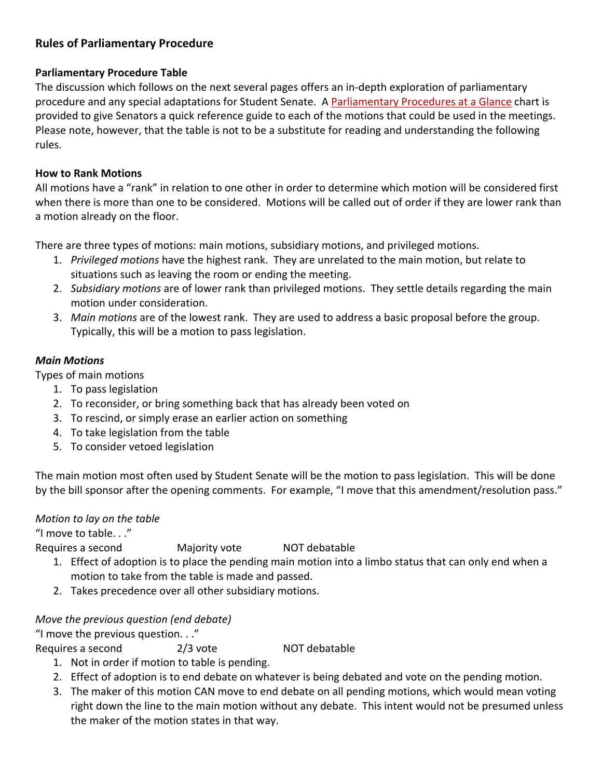## **Rules of Parliamentary Procedure**

#### **Parliamentary Procedure Table**

The discussion which follows on the next several pages offers an in‐depth exploration of parliamentary procedure and any special adaptations for Student Senate. A [Parliamentary](#page-3-0) [Procedures](#page-3-0) [at](#page-3-0) [a](#page-3-0) [Glance](#page-3-0) chart is provided to give Senators a quick reference guide to each of the motions that could be used in the meetings. Please note, however, that the table is not to be a substitute for reading and understanding the following rules.

#### **How to Rank Motions**

All motions have a "rank" in relation to one other in order to determine which motion will be considered first when there is more than one to be considered. Motions will be called out of order if they are lower rank than a motion already on the floor.

There are three types of motions: main motions, subsidiary motions, and privileged motions.

- 1. *Privileged motions* have the highest rank. They are unrelated to the main motion, but relate to situations such as leaving the room or ending the meeting.
- 2. *Subsidiary motions* are of lower rank than privileged motions. They settle details regarding the main motion under consideration.
- 3. *Main motions* are of the lowest rank. They are used to address a basic proposal before the group. Typically, this will be a motion to pass legislation.

#### *Main Motions*

Types of main motions

- 1. To pass legislation
- 2. To reconsider, or bring something back that has already been voted on
- 3. To rescind, or simply erase an earlier action on something
- 4. To take legislation from the table
- 5. To consider vetoed legislation

The main motion most often used by Student Senate will be the motion to pass legislation. This will be done by the bill sponsor after the opening comments. For example, "I move that this amendment/resolution pass."

#### *Motion to lay on the table*

"I move to table. . ."

Requires a second Majority vote NOT debatable

- 1. Effect of adoption is to place the pending main motion into a limbo status that can only end when a motion to take from the table is made and passed.
- 2. Takes precedence over all other subsidiary motions.

#### *Move the previous question (end debate)*

"I move the previous question. . ."

Requires a second 2/3 vote **NOT** debatable

- 1. Not in order if motion to table is pending.
- 2. Effect of adoption is to end debate on whatever is being debated and vote on the pending motion.
- 3. The maker of this motion CAN move to end debate on all pending motions, which would mean voting right down the line to the main motion without any debate. This intent would not be presumed unless the maker of the motion states in that way.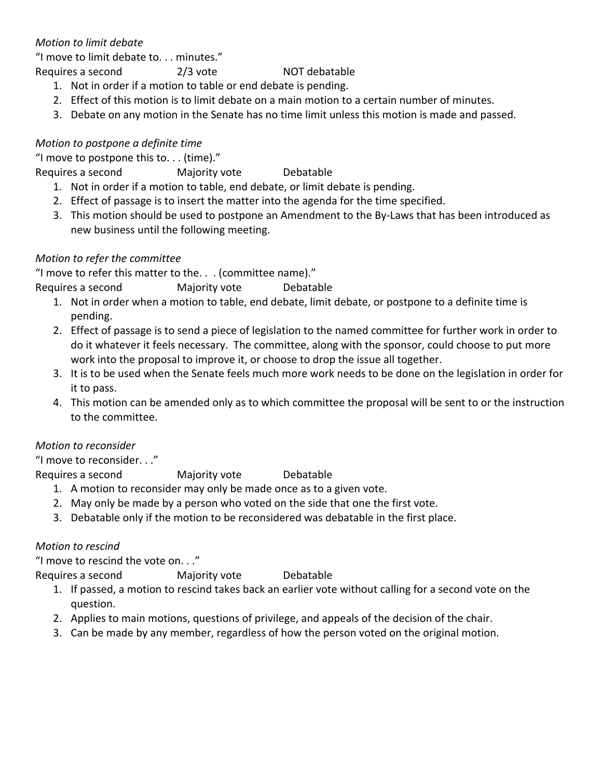## *Motion to limit debate*

"I move to limit debate to. . . minutes."

Requires a second 2/3 vote NOT debatable

1. Not in order if a motion to table or end debate is pending.

- 2. Effect of this motion is to limit debate on a main motion to a certain number of minutes.
- 3. Debate on any motion in the Senate has no time limit unless this motion is made and passed.

## *Motion to postpone a definite time*

"I move to postpone this to. . . (time)."

Requires a second Majority vote Debatable

- 1. Not in order if a motion to table, end debate, or limit debate is pending.
- 2. Effect of passage is to insert the matter into the agenda for the time specified.
- 3. This motion should be used to postpone an Amendment to the By‐Laws that has been introduced as new business until the following meeting.

## *Motion to refer the committee*

"I move to refer this matter to the. . . (committee name)."

Requires a second Majority vote Debatable

- 1. Not in order when a motion to table, end debate, limit debate, or postpone to a definite time is pending.
- 2. Effect of passage is to send a piece of legislation to the named committee for further work in order to do it whatever it feels necessary. The committee, along with the sponsor, could choose to put more work into the proposal to improve it, or choose to drop the issue all together.
- 3. It is to be used when the Senate feels much more work needs to be done on the legislation in order for it to pass.
- 4. This motion can be amended only as to which committee the proposal will be sent to or the instruction to the committee.

## *Motion to reconsider*

"I move to reconsider. . ."

Requires a second Majority vote Debatable

- 1. A motion to reconsider may only be made once as to a given vote.
- 2. May only be made by a person who voted on the side that one the first vote.
- 3. Debatable only if the motion to be reconsidered was debatable in the first place.

## *Motion to rescind*

"I move to rescind the vote on. . ."

Requires a second Majority vote Debatable

- 1. If passed, a motion to rescind takes back an earlier vote without calling for a second vote on the question.
- 2. Applies to main motions, questions of privilege, and appeals of the decision of the chair.
- 3. Can be made by any member, regardless of how the person voted on the original motion.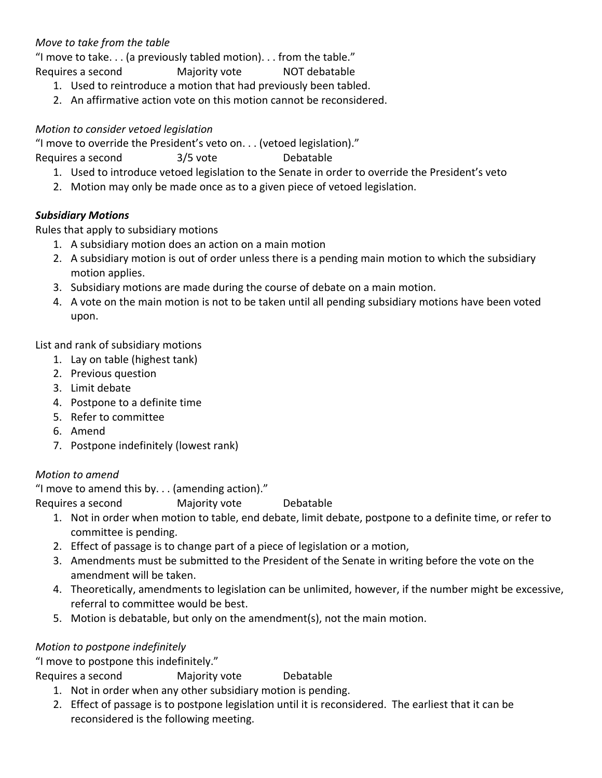## *Move to take from the table*

"I move to take. . . (a previously tabled motion). . . from the table." Requires a second Majority vote NOT debatable

- 1. Used to reintroduce a motion that had previously been tabled.
- 2. An affirmative action vote on this motion cannot be reconsidered.

#### *Motion to consider vetoed legislation*

"I move to override the President's veto on. . . (vetoed legislation)."

Requires a second 3/5 vote Debatable

- 1. Used to introduce vetoed legislation to the Senate in order to override the President's veto
- 2. Motion may only be made once as to a given piece of vetoed legislation.

#### *Subsidiary Motions*

Rules that apply to subsidiary motions

- 1. A subsidiary motion does an action on a main motion
- 2. A subsidiary motion is out of order unless there is a pending main motion to which the subsidiary motion applies.
- 3. Subsidiary motions are made during the course of debate on a main motion.
- 4. A vote on the main motion is not to be taken until all pending subsidiary motions have been voted upon.

List and rank of subsidiary motions

- 1. Lay on table (highest tank)
- 2. Previous question
- 3. Limit debate
- 4. Postpone to a definite time
- 5. Refer to committee
- 6. Amend
- 7. Postpone indefinitely (lowest rank)

#### *Motion to amend*

"I move to amend this by. . . (amending action)."

Requires a second Majority vote Debatable

- 1. Not in order when motion to table, end debate, limit debate, postpone to a definite time, or refer to committee is pending.
- 2. Effect of passage is to change part of a piece of legislation or a motion,
- 3. Amendments must be submitted to the President of the Senate in writing before the vote on the amendment will be taken.
- 4. Theoretically, amendments to legislation can be unlimited, however, if the number might be excessive, referral to committee would be best.
- 5. Motion is debatable, but only on the amendment(s), not the main motion.

## *Motion to postpone indefinitely*

"I move to postpone this indefinitely."

Requires a second Majority vote Debatable

- 1. Not in order when any other subsidiary motion is pending.
- 2. Effect of passage is to postpone legislation until it is reconsidered. The earliest that it can be reconsidered is the following meeting.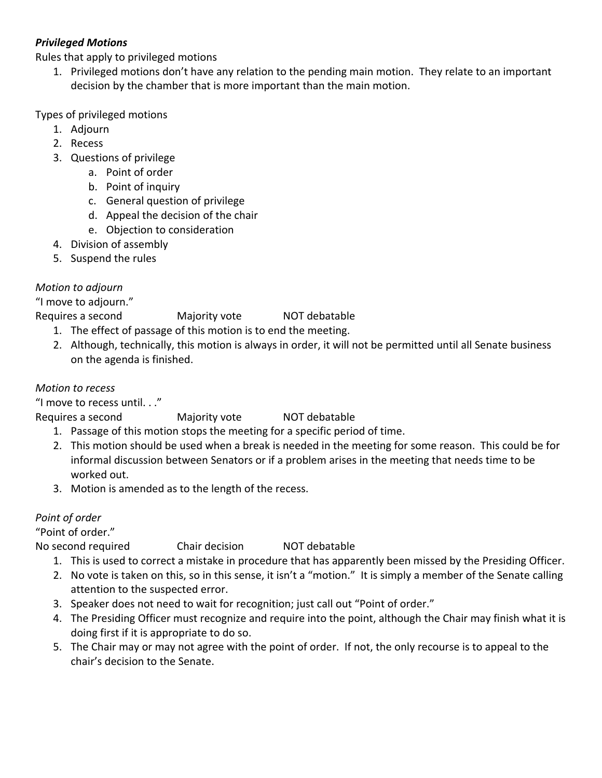## *Privileged Motions*

Rules that apply to privileged motions

1. Privileged motions don't have any relation to the pending main motion. They relate to an important decision by the chamber that is more important than the main motion.

#### Types of privileged motions

- 1. Adjourn
- 2. Recess
- 3. Questions of privilege
	- a. Point of order
	- b. Point of inquiry
	- c. General question of privilege
	- d. Appeal the decision of the chair
	- e. Objection to consideration
- 4. Division of assembly
- 5. Suspend the rules

## *Motion to adjourn*

"I move to adjourn."

Requires a second Majority vote NOT debatable

- 1. The effect of passage of this motion is to end the meeting.
- 2. Although, technically, this motion is always in order, it will not be permitted until all Senate business on the agenda is finished.

## *Motion to recess*

"I move to recess until. . ."

- Requires a second Majority vote NOT debatable
	- 1. Passage of this motion stops the meeting for a specific period of time.
	- 2. This motion should be used when a break is needed in the meeting for some reason. This could be for informal discussion between Senators or if a problem arises in the meeting that needs time to be worked out.
	- 3. Motion is amended as to the length of the recess.

## *Point of order*

"Point of order."

No second required Chair decision NOT debatable

- 1. This is used to correct a mistake in procedure that has apparently been missed by the Presiding Officer.
- 2. No vote is taken on this, so in this sense, it isn't a "motion." It is simply a member of the Senate calling attention to the suspected error.
- 3. Speaker does not need to wait for recognition; just call out "Point of order."
- 4. The Presiding Officer must recognize and require into the point, although the Chair may finish what it is doing first if it is appropriate to do so.
- 5. The Chair may or may not agree with the point of order. If not, the only recourse is to appeal to the chair's decision to the Senate.